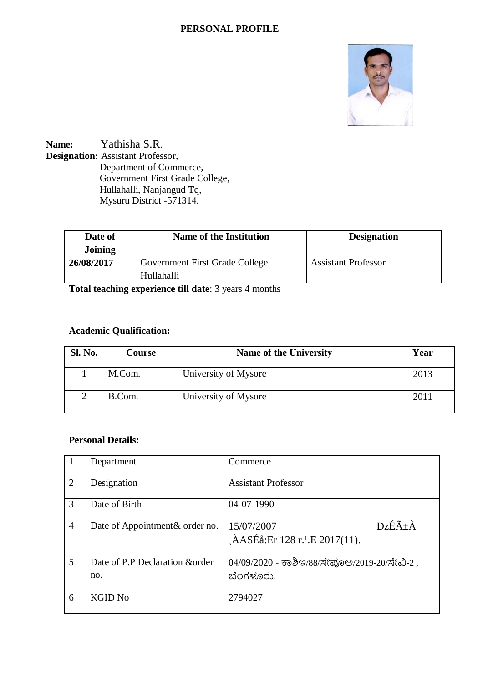#### **PERSONAL PROFILE**



**Name:** Yathisha S.R. **Designation:** Assistant Professor, Department of Commerce, Government First Grade College, Hullahalli, Nanjangud Tq, Mysuru District -571314.

| Date of<br><b>Joining</b> | <b>Name of the Institution</b>               | <b>Designation</b>         |
|---------------------------|----------------------------------------------|----------------------------|
| 26/08/2017                | Government First Grade College<br>Hullahalli | <b>Assistant Professor</b> |

**Total teaching experience till date**: 3 years 4 months

## **Academic Qualification:**

| <b>Sl. No.</b> | <b>Course</b> | <b>Name of the University</b> | Year |
|----------------|---------------|-------------------------------|------|
|                | M.Com.        | University of Mysore          | 2013 |
|                | B.Com.        | University of Mysore          | 2011 |

### **Personal Details:**

|                | Department                             | Commerce                                                                                    |
|----------------|----------------------------------------|---------------------------------------------------------------------------------------------|
| 2              | Designation                            | <b>Assistant Professor</b>                                                                  |
| 3              | Date of Birth                          | 04-07-1990                                                                                  |
| $\overline{4}$ | Date of Appointment & order no.        | $Dz\acute{E}\tilde{A}+\grave{A}$<br>15/07/2007<br>ÀASÉå:Er 128 r. <sup>1</sup> .E 2017(11). |
| 5              | Date of P.P Declaration & order<br>no. | 04/09/2020 - ಕಾಶಿಇ/88/ಸೇಪೂಅ/2019-20/ಸೇವಿ-2,<br>ಬೆಂಗಳೂರು.                                    |
| 6              | <b>KGID No</b>                         | 2794027                                                                                     |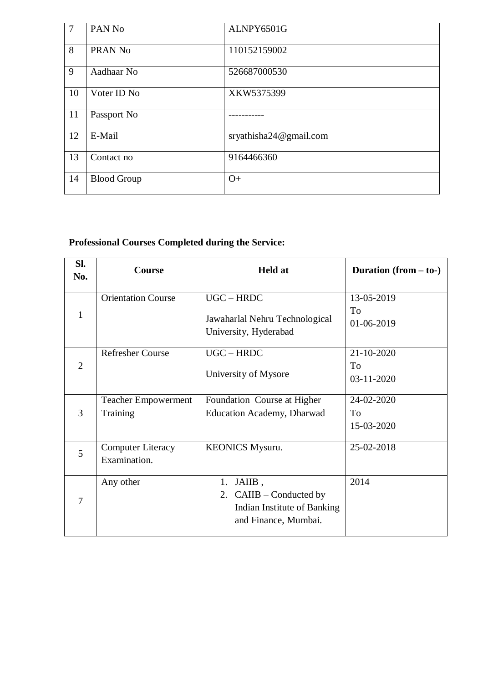| $\overline{7}$ | PAN <sub>No</sub>  | ALNPY6501G             |
|----------------|--------------------|------------------------|
| 8              | PRAN <sub>No</sub> | 110152159002           |
| 9              | Aadhaar No         | 526687000530           |
| 10             | Voter ID No        | XKW5375399             |
| 11             | Passport No        |                        |
| 12             | E-Mail             | sryathisha24@gmail.com |
| 13             | Contact no         | 9164466360             |
| 14             | <b>Blood Group</b> | $O+$                   |

# **Professional Courses Completed during the Service:**

| SI.<br>No.     | <b>Course</b>                            | <b>Held at</b>                                                                                  | Duration $(from - to-)$        |
|----------------|------------------------------------------|-------------------------------------------------------------------------------------------------|--------------------------------|
| 1              | <b>Orientation Course</b>                | $UGC - HRDC$<br>Jawaharlal Nehru Technological<br>University, Hyderabad                         | 13-05-2019<br>To<br>01-06-2019 |
| $\overline{2}$ | <b>Refresher Course</b>                  | $UGC - HRDC$<br>University of Mysore                                                            | 21-10-2020<br>To<br>03-11-2020 |
| 3              | <b>Teacher Empowerment</b><br>Training   | Foundation Course at Higher<br><b>Education Academy, Dharwad</b>                                | 24-02-2020<br>To<br>15-03-2020 |
| 5              | <b>Computer Literacy</b><br>Examination. | <b>KEONICS Mysuru.</b>                                                                          | 25-02-2018                     |
| 7              | Any other                                | $1.$ JAIIB,<br>2. $CAIIB - Conducted by$<br>Indian Institute of Banking<br>and Finance, Mumbai. | 2014                           |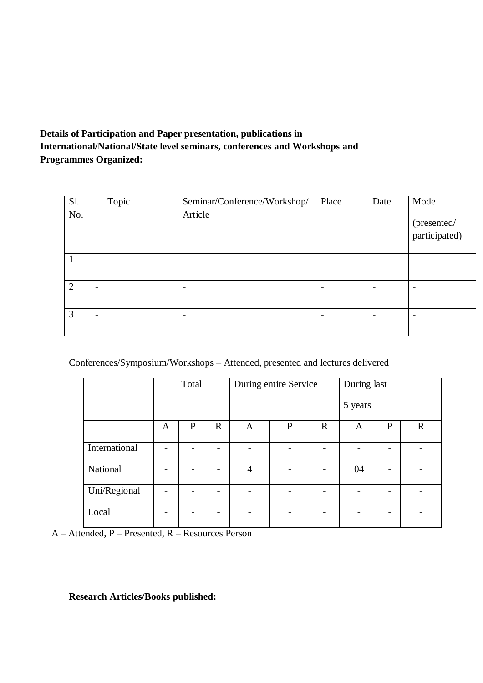## **Details of Participation and Paper presentation, publications in International/National/State level seminars, conferences and Workshops and Programmes Organized:**

| Sl. | Topic | Seminar/Conference/Workshop/ | Place | Date | Mode                         |
|-----|-------|------------------------------|-------|------|------------------------------|
| No. |       | Article                      |       |      | (presented/<br>participated) |
|     |       | $\overline{\phantom{0}}$     |       |      | $\overline{\phantom{a}}$     |
| 2   |       | $\overline{\phantom{a}}$     |       |      | $\overline{\phantom{a}}$     |
| 3   | ۰     | ۰                            |       |      | $\overline{\phantom{a}}$     |

Conferences/Symposium/Workshops – Attended, presented and lectures delivered

|               | Total |              |             | During entire Service |   |             | During last |              |             |
|---------------|-------|--------------|-------------|-----------------------|---|-------------|-------------|--------------|-------------|
|               |       |              |             |                       |   |             | 5 years     |              |             |
|               | A     | $\mathbf{P}$ | $\mathbf R$ | A                     | P | $\mathbf R$ | A           | $\mathbf{P}$ | $\mathbf R$ |
| International |       |              |             |                       |   |             |             |              |             |
| National      |       |              | -           | $\overline{4}$        |   |             | 04          |              |             |
| Uni/Regional  |       |              |             |                       |   |             |             |              |             |
| Local         |       |              | -           |                       |   |             |             |              |             |

A – Attended, P – Presented, R – Resources Person

**Research Articles/Books published:**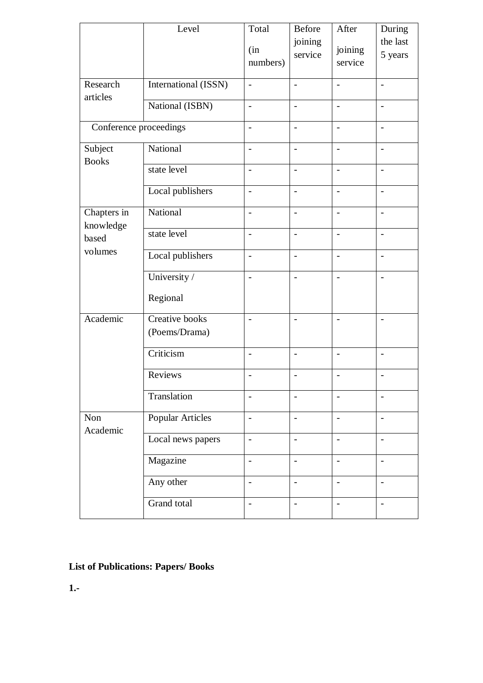|                          | Level                           | Total                    | Before                   | After                    | During                   |
|--------------------------|---------------------------------|--------------------------|--------------------------|--------------------------|--------------------------|
|                          |                                 | (in<br>numbers)          | joining<br>service       | joining<br>service       | the last<br>5 years      |
| Research                 | International (ISSN)            | $\overline{a}$           | $\overline{\phantom{a}}$ | $\overline{\phantom{0}}$ | $\overline{\phantom{a}}$ |
| articles                 | National (ISBN)                 | $\overline{a}$           | $\overline{a}$           |                          | $\overline{\phantom{a}}$ |
| Conference proceedings   |                                 | $\frac{1}{2}$            | $\qquad \qquad -$        | $\overline{\phantom{0}}$ | $\overline{\phantom{a}}$ |
| Subject<br><b>Books</b>  | National                        | $\overline{\phantom{0}}$ | $\overline{\phantom{a}}$ | $\overline{a}$           | $\overline{\phantom{a}}$ |
|                          | state level                     | $\overline{a}$           | $\overline{\phantom{a}}$ | $\overline{a}$           | $\overline{\phantom{a}}$ |
|                          | Local publishers                | $\overline{a}$           | $\overline{\phantom{a}}$ | $\overline{\phantom{0}}$ | $\blacksquare$           |
| Chapters in<br>knowledge | National                        | $\overline{a}$           | $\overline{a}$           | $\overline{a}$           | $\overline{\phantom{a}}$ |
| based                    | state level                     | $\frac{1}{2}$            | $\overline{\phantom{a}}$ | $\overline{\phantom{0}}$ | $\overline{\phantom{a}}$ |
| volumes                  | Local publishers                | $\overline{a}$           | $\blacksquare$           | $\overline{a}$           | $\overline{\phantom{a}}$ |
|                          | University /                    | $\overline{a}$           | $\overline{a}$           | $\overline{a}$           | $\overline{a}$           |
|                          | Regional                        |                          |                          |                          |                          |
| Academic                 | Creative books<br>(Poems/Drama) | $\overline{\phantom{a}}$ | $\overline{\phantom{a}}$ | $\overline{\phantom{a}}$ | $\overline{\phantom{a}}$ |
|                          | Criticism                       | $\overline{\phantom{0}}$ | $\overline{\phantom{a}}$ | $\overline{\phantom{0}}$ | $\overline{\phantom{a}}$ |
|                          | Reviews                         | $\overline{\phantom{a}}$ | $\overline{\phantom{a}}$ | $\overline{\phantom{a}}$ | $\overline{\phantom{a}}$ |
|                          | Translation                     |                          |                          |                          |                          |
| Non<br>Academic          | <b>Popular Articles</b>         | $\overline{a}$           | $\overline{\phantom{a}}$ | $\overline{\phantom{0}}$ | $\blacksquare$           |
|                          | Local news papers               | $\overline{a}$           | $\overline{\phantom{a}}$ | $\overline{\phantom{0}}$ | $\overline{\phantom{a}}$ |
|                          | Magazine                        | $\overline{\phantom{0}}$ | $\overline{\phantom{a}}$ |                          |                          |
|                          | Any other                       | $\overline{a}$           | $\overline{\phantom{a}}$ | $\overline{\phantom{a}}$ | $\overline{\phantom{a}}$ |
|                          | Grand total                     |                          | $\overline{\phantom{m}}$ | $\overline{\phantom{0}}$ | $\overline{\phantom{a}}$ |

# **List of Publications: Papers/ Books**

**1.-**